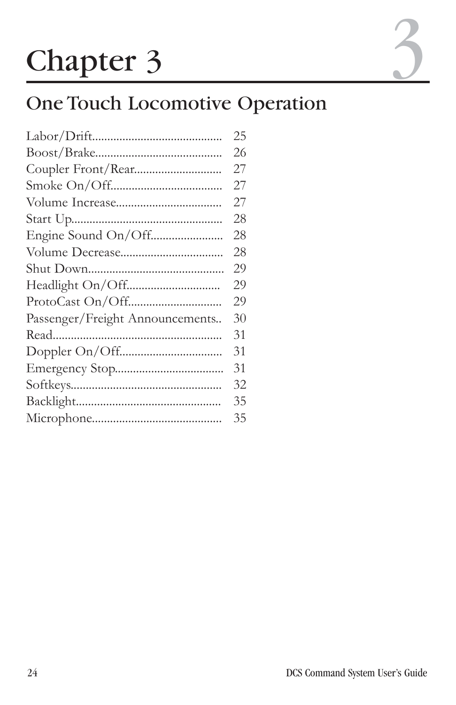# Chapter 3

# One Touch Locomotive Operation

|                                 | 25 |
|---------------------------------|----|
|                                 | 26 |
|                                 | 27 |
|                                 | 27 |
|                                 | 27 |
|                                 | 28 |
|                                 | 28 |
|                                 | 28 |
|                                 | 29 |
|                                 | 29 |
|                                 | 29 |
| Passenger/Freight Announcements | 30 |
|                                 | 31 |
|                                 | 31 |
|                                 | 31 |
|                                 | 32 |
|                                 | 35 |
|                                 | 35 |
|                                 |    |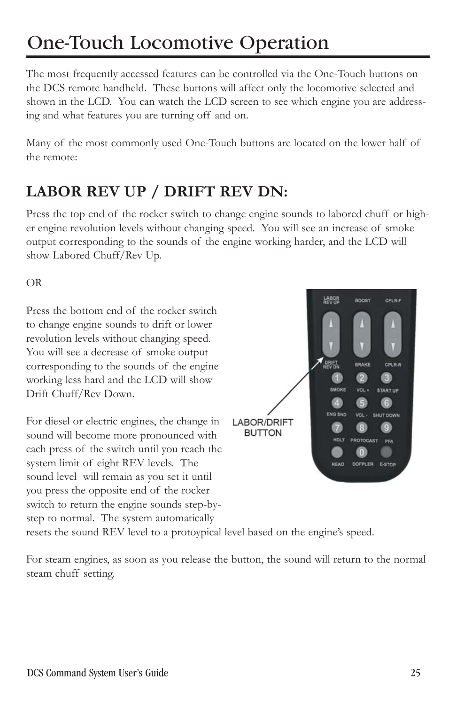The most frequently accessed features can be controlled via the One-Touch buttons on the DCS remote handheld. These buttons will affect only the locomotive selected and shown in the LCD. You can watch the LCD screen to see which engine you are addressing and what features you are turning off and on.

Many of the most commonly used One-Touch buttons are located on the lower half of the remote:

#### **LABOR REV UP / DRIFT REV DN:**

Press the top end of the rocker switch to change engine sounds to labored chuff or higher engine revolution levels without changing speed. You will see an increase of smoke output corresponding to the sounds of the engine working harder, and the LCD will show Labored Chuff/Rev Up.

OR

Press the bottom end of the rocker switch to change engine sounds to drift or lower revolution levels without changing speed. You will see a decrease of smoke output corresponding to the sounds of the engine working less hard and the LCD will show Drift Chuff/Rev Down.

For diesel or electric engines, the change in sound will become more pronounced with each press of the switch until you reach the system limit of eight REV levels. The sound level will remain as you set it until you press the opposite end of the rocker switch to return the engine sounds step-bystep to normal. The system automatically



resets the sound REV level to a protoypical level based on the engine's speed.

For steam engines, as soon as you release the button, the sound will return to the normal steam chuff setting.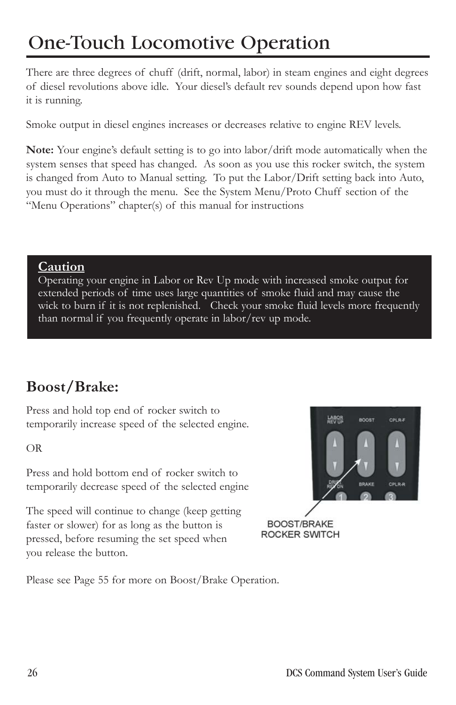There are three degrees of chuff (drift, normal, labor) in steam engines and eight degrees of diesel revolutions above idle. Your diesel's default rev sounds depend upon how fast it is running.

Smoke output in diesel engines increases or decreases relative to engine REV levels.

**Note:** Your engine's default setting is to go into labor/drift mode automatically when the system senses that speed has changed. As soon as you use this rocker switch, the system is changed from Auto to Manual setting. To put the Labor/Drift setting back into Auto, you must do it through the menu. See the System Menu/Proto Chuff section of the "Menu Operations" chapter(s) of this manual for instructions

#### **Caution**

Operating your engine in Labor or Rev Up mode with increased smoke output for extended periods of time uses large quantities of smoke fluid and may cause the wick to burn if it is not replenished. Check your smoke fluid levels more frequently than normal if you frequently operate in labor/rev up mode.

#### **Boost/Brake:**

Press and hold top end of rocker switch to temporarily increase speed of the selected engine.

OR

Press and hold bottom end of rocker switch to temporarily decrease speed of the selected engine

The speed will continue to change (keep getting faster or slower) for as long as the button is pressed, before resuming the set speed when you release the button.



**BOOST/BRAKE** ROCKER SWITCH

Please see Page 55 for more on Boost/Brake Operation.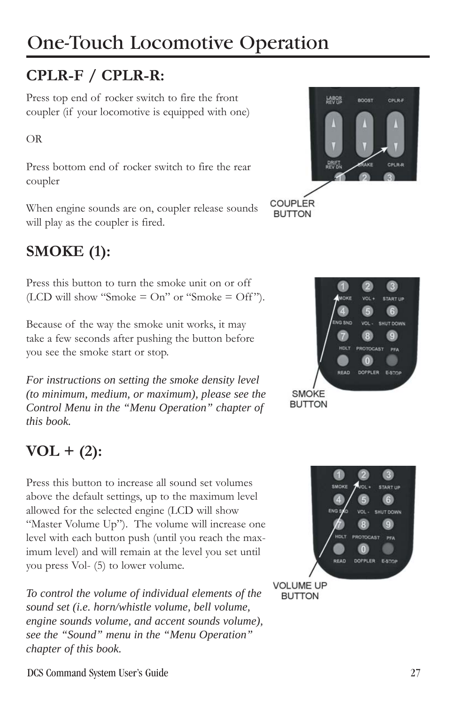#### **CPLR-F / CPLR-R:**

Press top end of rocker switch to fire the front coupler (if your locomotive is equipped with one)

OR

Press bottom end of rocker switch to fire the rear coupler

When engine sounds are on, coupler release sounds will play as the coupler is fired.

#### **SMOKE (1):**

Press this button to turn the smoke unit on or off (LCD will show "Smoke  $=$  On" or "Smoke  $=$  Off").

Because of the way the smoke unit works, it may take a few seconds after pushing the button before you see the smoke start or stop.

*For instructions on setting the smoke density level (to minimum, medium, or maximum), please see the Control Menu in the "Menu Operation" chapter of this book.*

#### **VOL + (2):**

Press this button to increase all sound set volumes above the default settings, up to the maximum level allowed for the selected engine (LCD will show "Master Volume Up"). The volume will increase one level with each button push (until you reach the maximum level) and will remain at the level you set until you press Vol- (5) to lower volume.

*To control the volume of individual elements of the sound set (i.e. horn/whistle volume, bell volume, engine sounds volume, and accent sounds volume), see the "Sound" menu in the "Menu Operation" chapter of this book.*





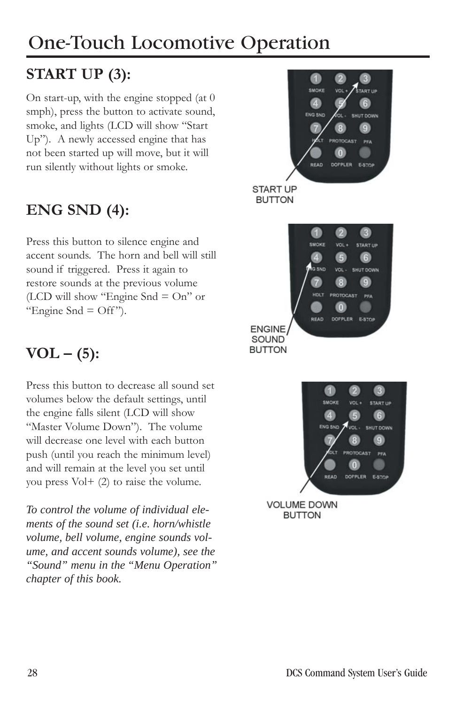### **START UP (3):**

On start-up, with the engine stopped (at 0 smph), press the button to activate sound, smoke, and lights (LCD will show "Start Up"). A newly accessed engine that has not been started up will move, but it will run silently without lights or smoke.

#### **ENG SND (4):**

Press this button to silence engine and accent sounds. The horn and bell will still sound if triggered. Press it again to restore sounds at the previous volume (LCD will show "Engine Snd  $=$  On" or "Engine Snd  $=$  Off").

### $VOL - (5):$

Press this button to decrease all sound set volumes below the default settings, until the engine falls silent (LCD will show "Master Volume Down"). The volume will decrease one level with each button push (until you reach the minimum level) and will remain at the level you set until you press Vol+ (2) to raise the volume.

*To control the volume of individual elements of the sound set (i.e. horn/whistle volume, bell volume, engine sounds volume, and accent sounds volume), see the "Sound" menu in the "Menu Operation" chapter of this book.*





**VOLUME DOWN BUTTON**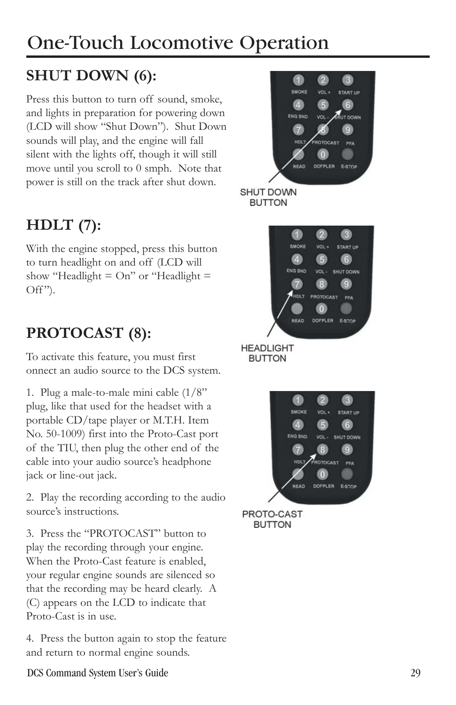### **SHUT DOWN (6):**

Press this button to turn off sound, smoke, and lights in preparation for powering down (LCD will show "Shut Down"). Shut Down sounds will play, and the engine will fall silent with the lights off, though it will still move until you scroll to 0 smph. Note that power is still on the track after shut down.

### **HDLT (7):**

With the engine stopped, press this button to turn headlight on and off (LCD will show "Headlight  $=$  On" or "Headlight  $=$ Off").

#### **PROTOCAST (8):**

To activate this feature, you must first onnect an audio source to the DCS system.

1. Plug a male-to-male mini cable (1/8" plug, like that used for the headset with a portable CD/tape player or M.T.H. Item No. 50-1009) first into the Proto-Cast port of the TIU, then plug the other end of the cable into your audio source's headphone jack or line-out jack.

2. Play the recording according to the audio source's instructions.

3. Press the "PROTOCAST" button to play the recording through your engine. When the Proto-Cast feature is enabled, your regular engine sounds are silenced so that the recording may be heard clearly. A (C) appears on the LCD to indicate that Proto-Cast is in use.

4. Press the button again to stop the feature and return to normal engine sounds.





**BUTTON** 



DCS Command System User's Guide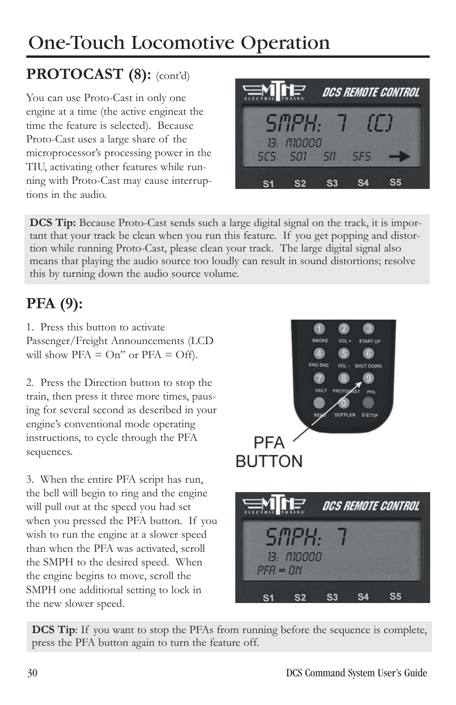### PROTOCAST (8): (cont'd)

You can use Proto-Cast in only one engine at a time (the active engineat the time the feature is selected). Because Proto-Cast uses a large share of the microprocessor's processing power in the TIU, activating other features while running with Proto-Cast may cause interruptions in the audio.



**DCS Tip:** Because Proto-Cast sends such a large digital signal on the track, it is important that your track be clean when you run this feature. If you get popping and distortion while running Proto-Cast, please clean your track. The large digital signal also means that playing the audio source too loudly can result in sound distortions; resolve this by turning down the audio source volume.

### **PFA (9):**

1. Press this button to activate Passenger/Freight Announcements (LCD will show  $PFA = On''$  or  $PFA = Off$ .

2. Press the Direction button to stop the train, then press it three more times, pausing for several second as described in your engine's conventional mode operating instructions, to cycle through the PFA sequences.

3. When the entire PFA script has run, the bell will begin to ring and the engine will pull out at the speed you had set when you pressed the PFA button. If you wish to run the engine at a slower speed than when the PFA was activated, scroll the SMPH to the desired speed. When the engine begins to move, scroll the SMPH one additional setting to lock in the new slower speed.





**DCS Tip:** If you want to stop the PFAs from running before the sequence is complete, press the PFA button again to turn the feature off.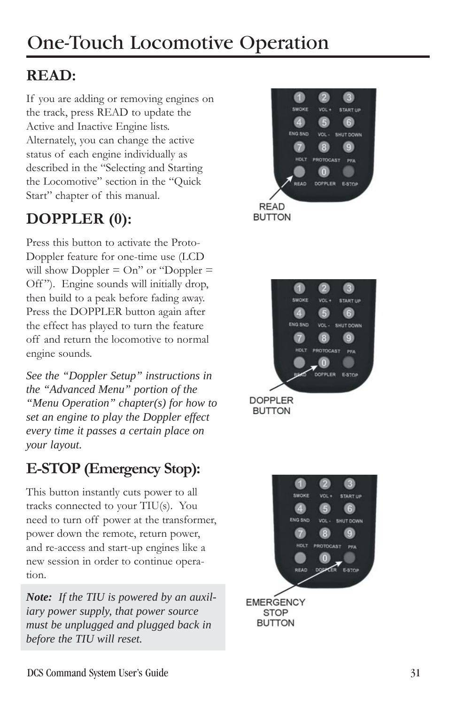#### **READ:**

If you are adding or removing engines on the track, press READ to update the Active and Inactive Engine lists. Alternately, you can change the active status of each engine individually as described in the "Selecting and Starting the Locomotive" section in the "Quick Start" chapter of this manual.

#### **DOPPLER (0):**

Press this button to activate the Proto-Doppler feature for one-time use (LCD will show Doppler  $=$  On" or "Doppler  $=$ Off"). Engine sounds will initially drop, then build to a peak before fading away. Press the DOPPLER button again after the effect has played to turn the feature off and return the locomotive to normal engine sounds.

*See the "Doppler Setup" instructions in the "Advanced Menu" portion of the "Menu Operation" chapter(s) for how to set an engine to play the Doppler effect every time it passes a certain place on your layout.*

#### **E-STOP (Emergency Stop):**

This button instantly cuts power to all tracks connected to your TIU(s). You need to turn off power at the transformer, power down the remote, return power, and re-access and start-up engines like a new session in order to continue operation.

*Note: If the TIU is powered by an auxiliary power supply, that power source must be unplugged and plugged back in before the TIU will reset.*





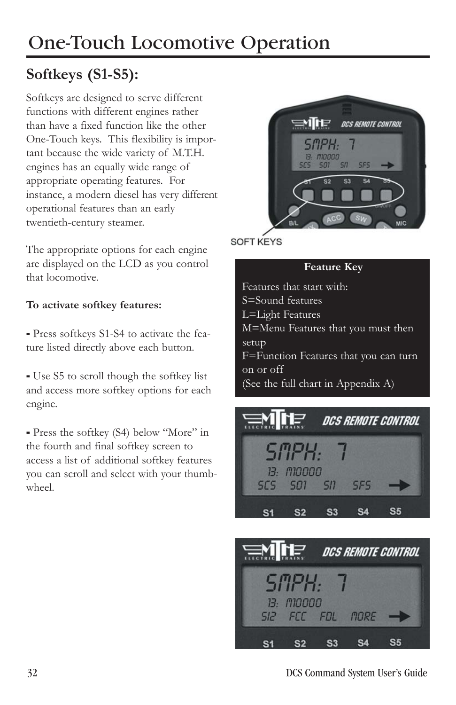#### **Softkeys (S1-S5):**

Softkeys are designed to serve different functions with different engines rather than have a fixed function like the other One-Touch keys. This flexibility is important because the wide variety of M.T.H. engines has an equally wide range of appropriate operating features. For instance, a modern diesel has very different operational features than an early twentieth-century steamer.

The appropriate options for each engine are displayed on the LCD as you control that locomotive.

#### **To activate softkey features:**

- Press softkeys S1-S4 to activate the feature listed directly above each button.

- Use S5 to scroll though the softkey list and access more softkey options for each engine.

- Press the softkey (S4) below "More" in the fourth and final softkey screen to access a list of additional softkey features you can scroll and select with your thumbwheel.



**SOFT KEYS** 

#### **Feature Key**

Features that start with: S=Sound features L=Light Features M=Menu Features that you must then setup F=Function Features that you can turn on or off (See the full chart in Appendix A)





DCS Command System User's Guide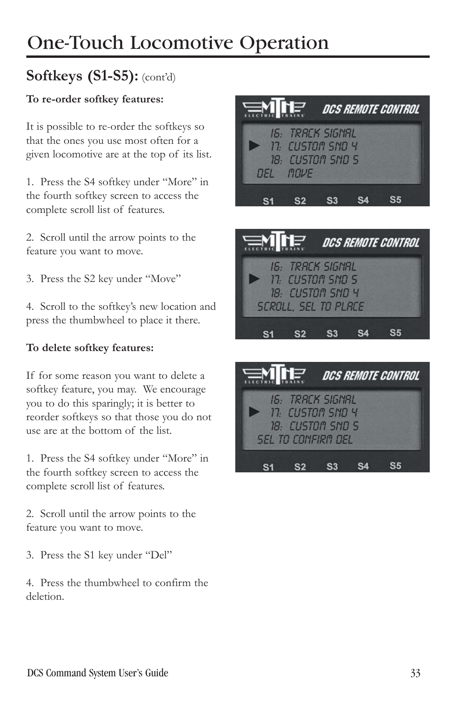#### **Softkeys (S1-S5):** (cont'd)

#### **To re-order softkey features:**

It is possible to re-order the softkeys so that the ones you use most often for a given locomotive are at the top of its list.

1. Press the S4 softkey under "More" in the fourth softkey screen to access the complete scroll list of features.

2. Scroll until the arrow points to the feature you want to move.

3. Press the S2 key under "Move"

4. Scroll to the softkey's new location and press the thumbwheel to place it there.

#### **To delete softkey features:**

If for some reason you want to delete a softkey feature, you may. We encourage you to do this sparingly; it is better to reorder softkeys so that those you do not use are at the bottom of the list.

1. Press the S4 softkey under "More" in the fourth softkey screen to access the complete scroll list of features.

2. Scroll until the arrow points to the feature you want to move.

3. Press the S1 key under "Del"

4. Press the thumbwheel to confirm the deletion.





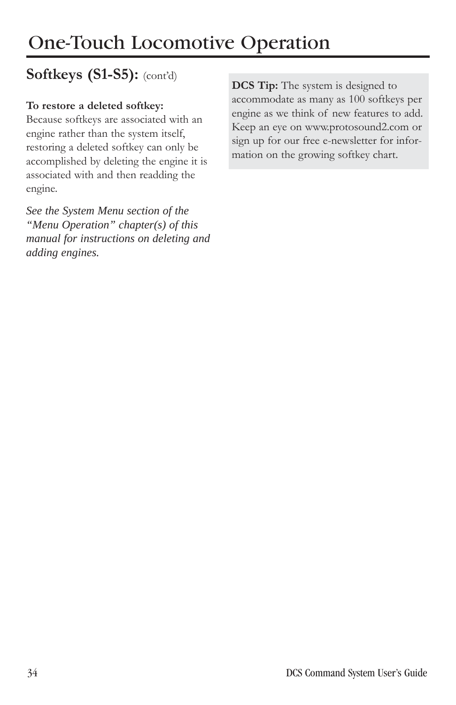#### **Softkeys (S1-S5):** (cont'd)

#### **To restore a deleted softkey:**

Because softkeys are associated with an engine rather than the system itself, restoring a deleted softkey can only be accomplished by deleting the engine it is associated with and then readding the engine.

*See the System Menu section of the "Menu Operation" chapter(s) of this manual for instructions on deleting and adding engines.*

**DCS Tip:** The system is designed to accommodate as many as 100 softkeys per engine as we think of new features to add. Keep an eye on www.protosound2.com or sign up for our free e-newsletter for information on the growing softkey chart.